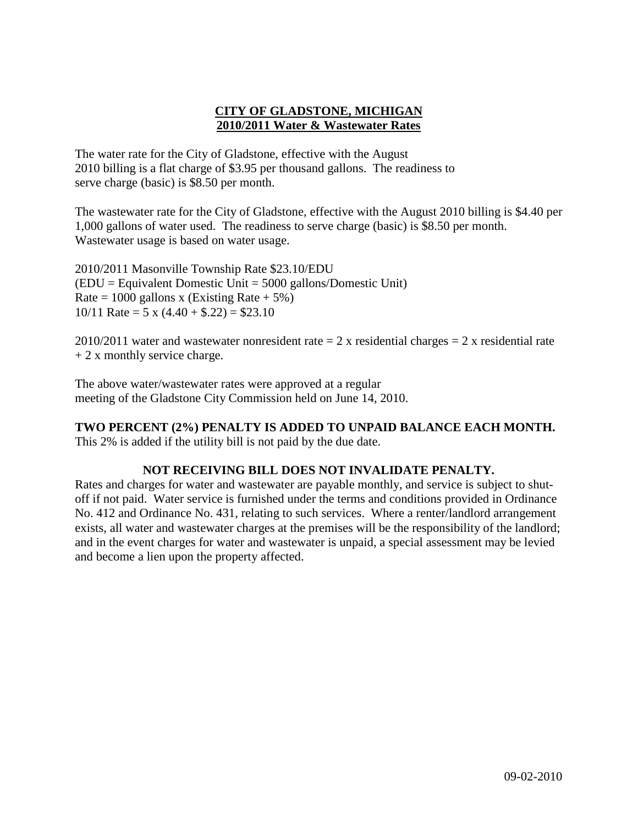# **CITY OF GLADSTONE, MICHIGAN 2010/2011 Water & Wastewater Rates**

The water rate for the City of Gladstone, effective with the August 2010 billing is a flat charge of \$3.95 per thousand gallons. The readiness to serve charge (basic) is \$8.50 per month.

The wastewater rate for the City of Gladstone, effective with the August 2010 billing is \$4.40 per 1,000 gallons of water used. The readiness to serve charge (basic) is \$8.50 per month. Wastewater usage is based on water usage.

2010/2011 Masonville Township Rate \$23.10/EDU (EDU = Equivalent Domestic Unit = 5000 gallons/Domestic Unit) Rate = 1000 gallons x (Existing Rate +  $5\%$ ) 10/11 Rate = 5 x  $(4.40 + $.22) = $23.10$ 

2010/2011 water and wastewater nonresident rate  $= 2 x$  residential charges  $= 2 x$  residential rate  $+ 2x$  monthly service charge.

The above water/wastewater rates were approved at a regular meeting of the Gladstone City Commission held on June 14, 2010.

# **TWO PERCENT (2%) PENALTY IS ADDED TO UNPAID BALANCE EACH MONTH.**

This 2% is added if the utility bill is not paid by the due date.

# **NOT RECEIVING BILL DOES NOT INVALIDATE PENALTY.**

Rates and charges for water and wastewater are payable monthly, and service is subject to shutoff if not paid. Water service is furnished under the terms and conditions provided in Ordinance No. 412 and Ordinance No. 431, relating to such services. Where a renter/landlord arrangement exists, all water and wastewater charges at the premises will be the responsibility of the landlord; and in the event charges for water and wastewater is unpaid, a special assessment may be levied and become a lien upon the property affected.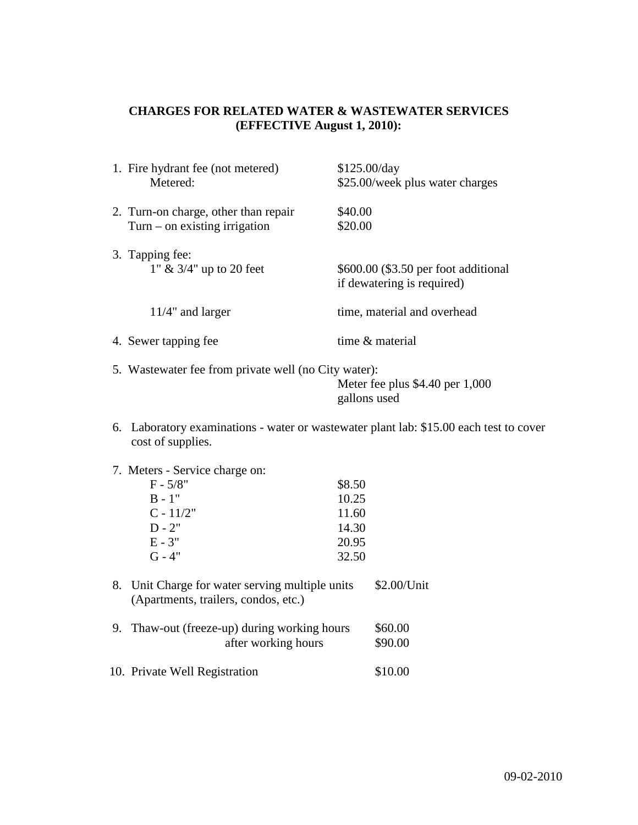# **CHARGES FOR RELATED WATER & WASTEWATER SERVICES (EFFECTIVE August 1, 2010):**

| 1. Fire hydrant fee (not metered)    | \$125.00/day                         |
|--------------------------------------|--------------------------------------|
| Metered:                             | \$25.00/week plus water charges      |
| 2. Turn-on charge, other than repair | \$40.00                              |
| $Turn - on existing irrational$      | \$20.00                              |
| 3. Tapping fee:                      | \$600.00 (\$3.50 per foot additional |
| 1" $\&$ 3/4" up to 20 feet           | if dewatering is required)           |
| $11/4$ " and larger                  | time, material and overhead          |
| 4. Sewer tapping fee                 | time & material                      |

5. Wastewater fee from private well (no City water): Meter fee plus \$4.40 per 1,000 gallons used

- 6. Laboratory examinations water or wastewater plant lab: \$15.00 each test to cover cost of supplies.
- 7. Meters Service charge on:

| $F - 5/8"$  | \$8.50 |
|-------------|--------|
| $B - 1"$    | 10.25  |
| $C - 11/2"$ | 11.60  |
| $D - 2"$    | 14.30  |
| $E - 3"$    | 20.95  |
| $G - 4"$    | 32.50  |

- 8. Unit Charge for water serving multiple units \$2.00/Unit (Apartments, trailers, condos, etc.)
- 9. Thaw-out (freeze-up) during working hours \$60.00<br>after working hours \$90.00 after working hours
- 10. Private Well Registration \$10.00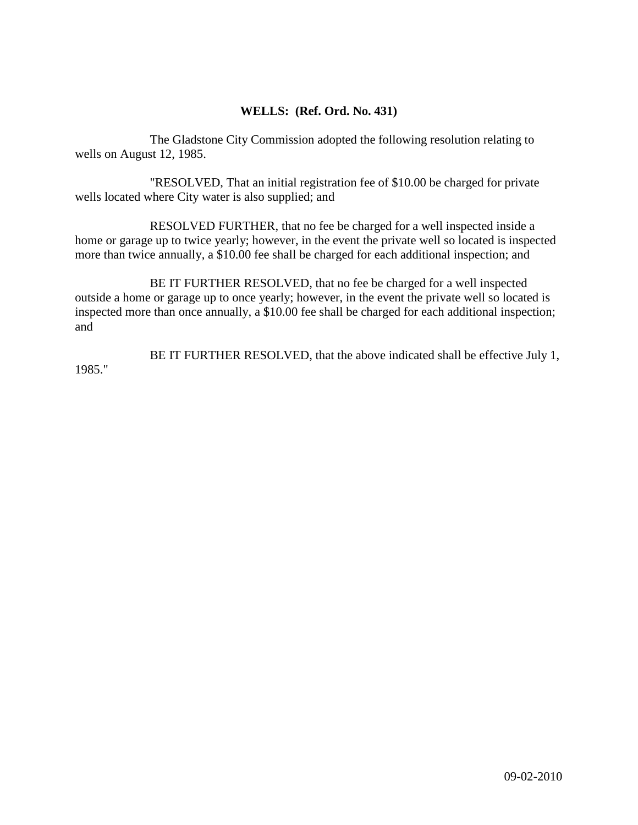## **WELLS: (Ref. Ord. No. 431)**

The Gladstone City Commission adopted the following resolution relating to wells on August 12, 1985.

"RESOLVED, That an initial registration fee of \$10.00 be charged for private wells located where City water is also supplied; and

RESOLVED FURTHER, that no fee be charged for a well inspected inside a home or garage up to twice yearly; however, in the event the private well so located is inspected more than twice annually, a \$10.00 fee shall be charged for each additional inspection; and

BE IT FURTHER RESOLVED, that no fee be charged for a well inspected outside a home or garage up to once yearly; however, in the event the private well so located is inspected more than once annually, a \$10.00 fee shall be charged for each additional inspection; and

BE IT FURTHER RESOLVED, that the above indicated shall be effective July 1, 1985."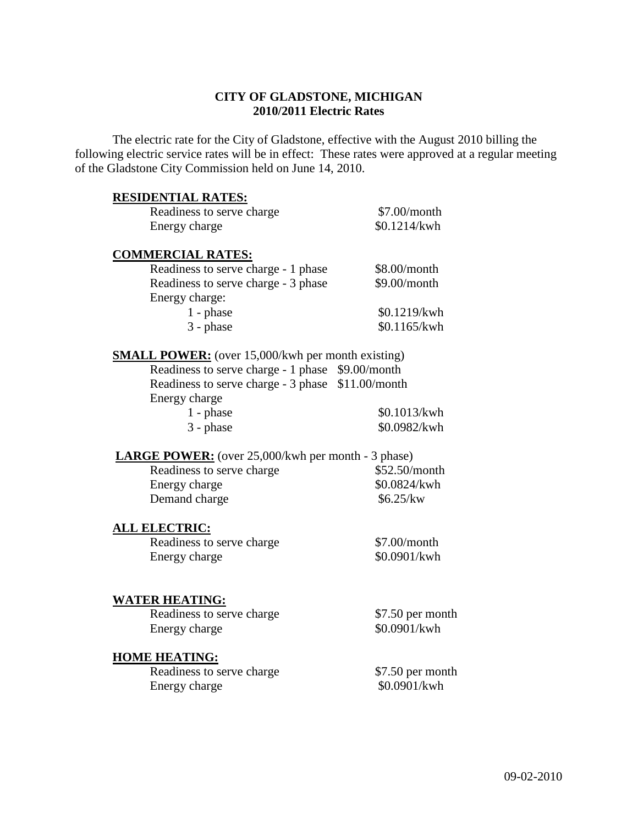## **CITY OF GLADSTONE, MICHIGAN 2010/2011 Electric Rates**

The electric rate for the City of Gladstone, effective with the August 2010 billing the following electric service rates will be in effect: These rates were approved at a regular meeting of the Gladstone City Commission held on June 14, 2010.

#### **RESIDENTIAL RATES:**

| Readiness to serve charge | $$7.00/m$ onth |
|---------------------------|----------------|
| Energy charge             | \$0.1214/kwh   |

#### **COMMERCIAL RATES:**

| Readiness to serve charge - 1 phase | \$8.00/month |
|-------------------------------------|--------------|
| Readiness to serve charge - 3 phase | \$9.00/month |
| Energy charge:                      |              |
| $1$ - phase                         | \$0.1219/kwh |
| $3$ - phase                         | \$0.1165/kwh |

#### **SMALL POWER:** (over 15,000/kwh per month existing)

| Readiness to serve charge - 1 phase \$9.00/month  |              |
|---------------------------------------------------|--------------|
| Readiness to serve charge - 3 phase \$11.00/month |              |
| Energy charge                                     |              |
| $1$ - phase                                       | \$0.1013/kwh |
| $3$ - phase                                       | \$0.0982/kwh |

## **LARGE POWER:** (over 25,000/kwh per month - 3 phase)

| Readiness to serve charge | \$52.50/month |
|---------------------------|---------------|
| Energy charge             | \$0.0824/kwh  |
| Demand charge             | \$6.25/kw     |

## **ALL ELECTRIC:**

Readiness to serve charge \$7.00/month Energy charge  $$0.0901/kwh$ 

#### **WATER HEATING:**

Readiness to serve charge \$7.50 per month Energy charge  $$0.0901/kwh$ 

#### **HOME HEATING:**

| Readiness to serve charge | $$7.50$ per month |
|---------------------------|-------------------|
| Energy charge             | \$0.0901/kwh      |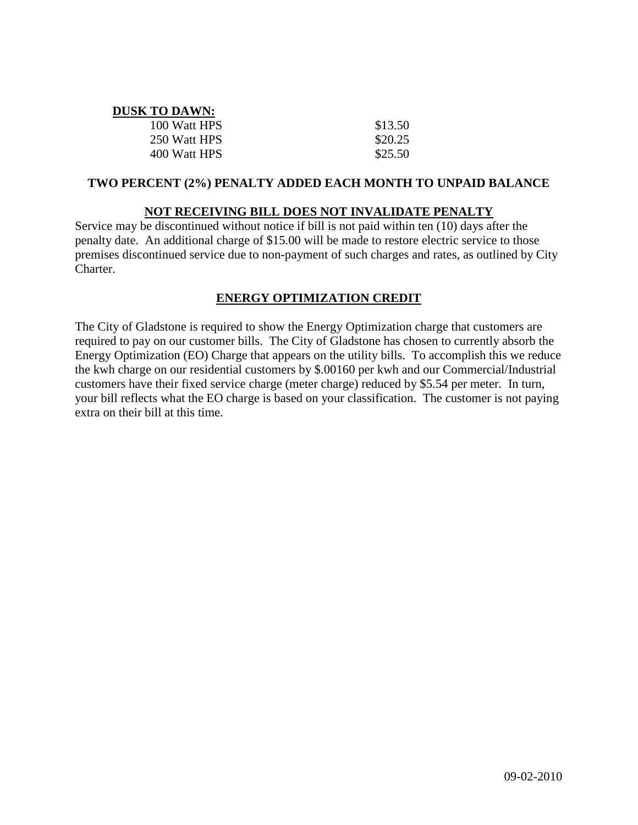| <b>DUSK TO DAWN:</b> |         |
|----------------------|---------|
| 100 Watt HPS         | \$13.50 |
| 250 Watt HPS         | \$20.25 |
| 400 Watt HPS         | \$25.50 |

## **TWO PERCENT (2%) PENALTY ADDED EACH MONTH TO UNPAID BALANCE**

# **NOT RECEIVING BILL DOES NOT INVALIDATE PENALTY**

Service may be discontinued without notice if bill is not paid within ten (10) days after the penalty date. An additional charge of \$15.00 will be made to restore electric service to those premises discontinued service due to non-payment of such charges and rates, as outlined by City Charter.

# **ENERGY OPTIMIZATION CREDIT**

The City of Gladstone is required to show the Energy Optimization charge that customers are required to pay on our customer bills. The City of Gladstone has chosen to currently absorb the Energy Optimization (EO) Charge that appears on the utility bills. To accomplish this we reduce the kwh charge on our residential customers by \$.00160 per kwh and our Commercial/Industrial customers have their fixed service charge (meter charge) reduced by \$5.54 per meter. In turn, your bill reflects what the EO charge is based on your classification. The customer is not paying extra on their bill at this time.